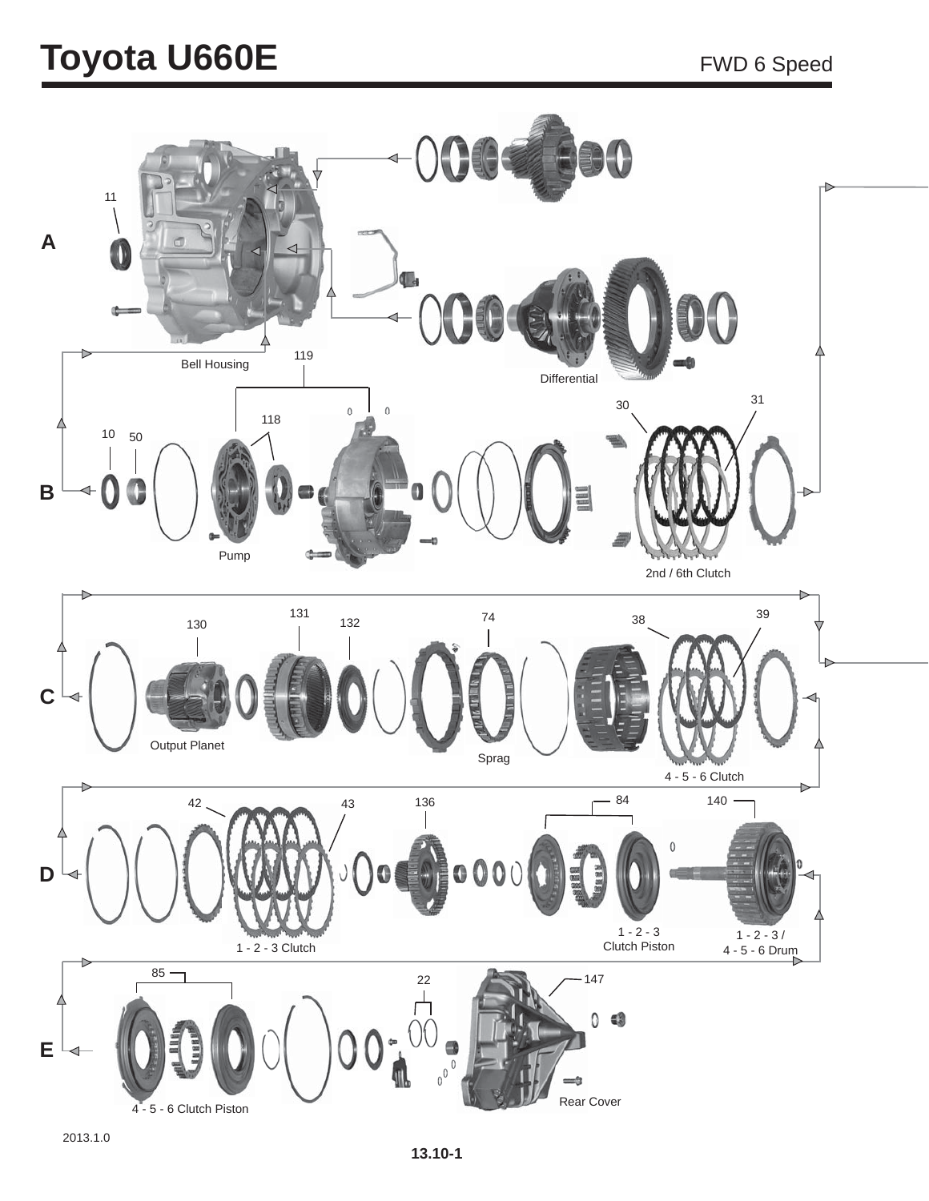## **Toyota U660E** FWD 6 Speed

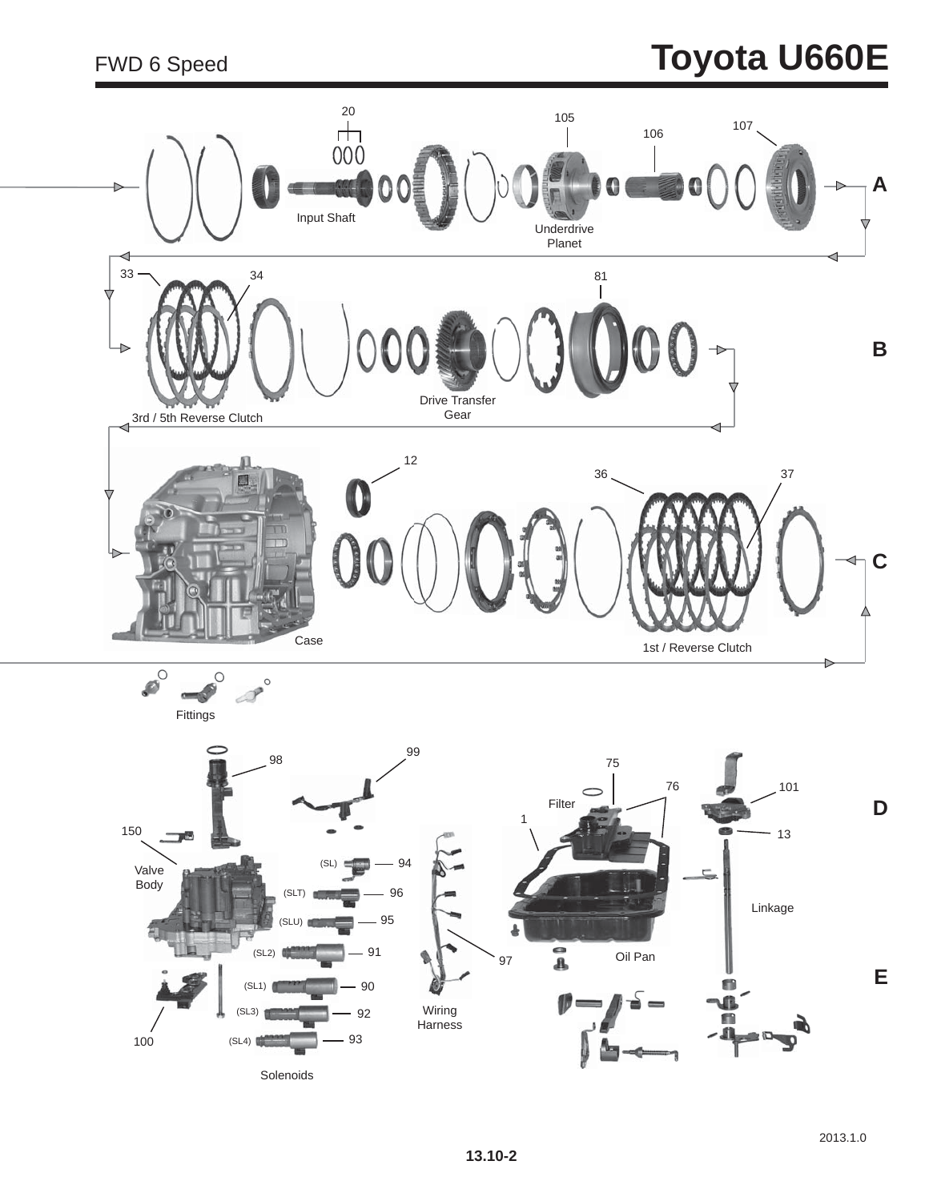#### FWD 6 Speed

# **Toyota U660E**

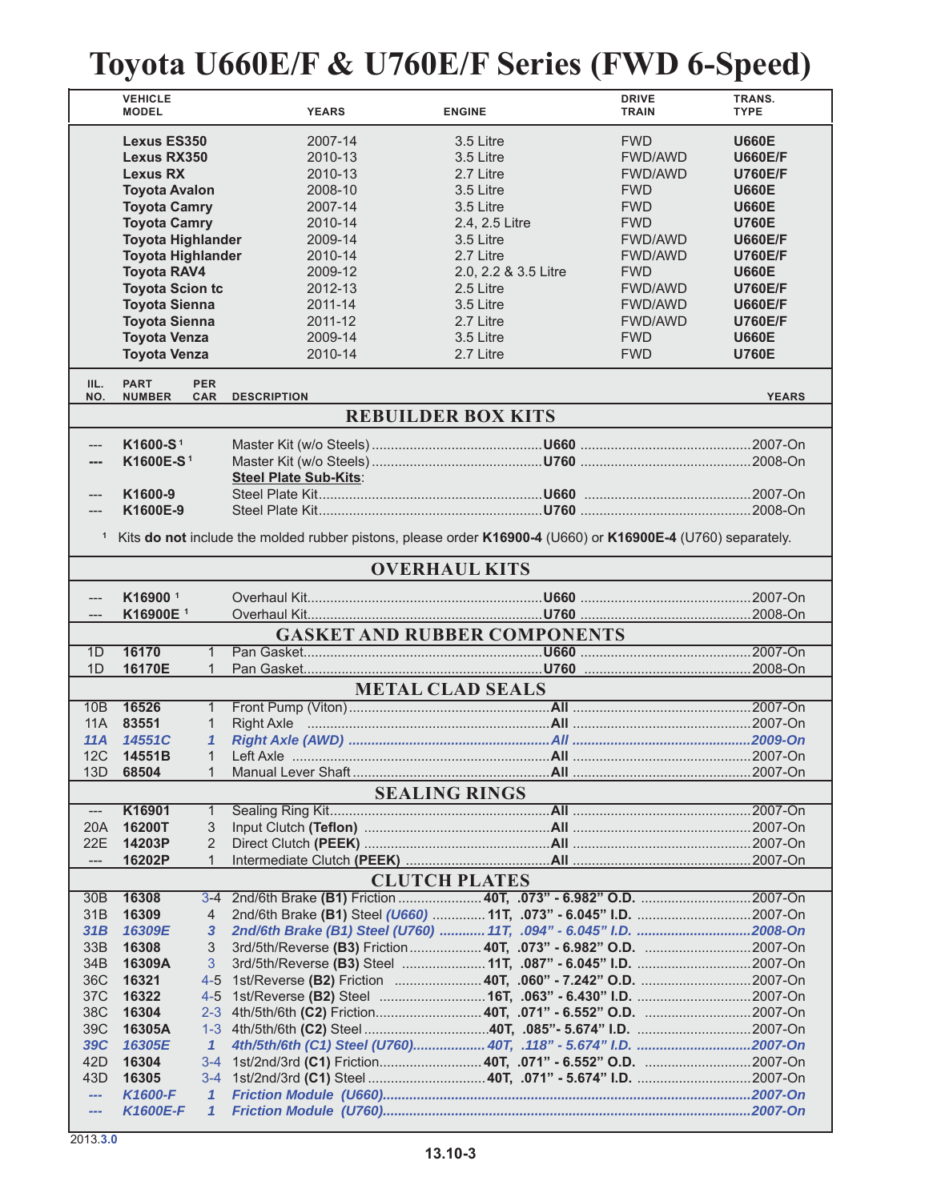## **Toyota U660E/F & U760E/F Series (FWD 6-Speed)**

|                                                                    | <b>VEHICLE</b><br><b>MODEL</b>                                                                                                                                                                                                                                                                                                   |                              | <b>YEARS</b>                                                                                                                                           | <b>ENGINE</b>                                                                                                                                                                                      | <b>DRIVE</b><br><b>TRAIN</b>                                                                                                                                                                                          | TRANS.<br><b>TYPE</b>                                                                                                                                                                                                                      |  |  |  |  |
|--------------------------------------------------------------------|----------------------------------------------------------------------------------------------------------------------------------------------------------------------------------------------------------------------------------------------------------------------------------------------------------------------------------|------------------------------|--------------------------------------------------------------------------------------------------------------------------------------------------------|----------------------------------------------------------------------------------------------------------------------------------------------------------------------------------------------------|-----------------------------------------------------------------------------------------------------------------------------------------------------------------------------------------------------------------------|--------------------------------------------------------------------------------------------------------------------------------------------------------------------------------------------------------------------------------------------|--|--|--|--|
|                                                                    | <b>Lexus ES350</b><br>Lexus RX350<br><b>Lexus RX</b><br><b>Toyota Avalon</b><br><b>Toyota Camry</b><br><b>Toyota Camry</b><br><b>Toyota Highlander</b><br><b>Toyota Highlander</b><br><b>Toyota RAV4</b><br><b>Toyota Scion tc</b><br><b>Toyota Sienna</b><br><b>Toyota Sienna</b><br><b>Toyota Venza</b><br><b>Toyota Venza</b> |                              | 2007-14<br>2010-13<br>2010-13<br>2008-10<br>2007-14<br>2010-14<br>2009-14<br>2010-14<br>2009-12<br>2012-13<br>2011-14<br>2011-12<br>2009-14<br>2010-14 | 3.5 Litre<br>3.5 Litre<br>2.7 Litre<br>3.5 Litre<br>3.5 Litre<br>2.4, 2.5 Litre<br>3.5 Litre<br>2.7 Litre<br>2.0, 2.2 & 3.5 Litre<br>2.5 Litre<br>3.5 Litre<br>2.7 Litre<br>3.5 Litre<br>2.7 Litre | <b>FWD</b><br><b>FWD/AWD</b><br><b>FWD/AWD</b><br><b>FWD</b><br><b>FWD</b><br><b>FWD</b><br><b>FWD/AWD</b><br><b>FWD/AWD</b><br><b>FWD</b><br><b>FWD/AWD</b><br>FWD/AWD<br><b>FWD/AWD</b><br><b>FWD</b><br><b>FWD</b> | <b>U660E</b><br><b>U660E/F</b><br><b>U760E/F</b><br><b>U660E</b><br><b>U660E</b><br><b>U760E</b><br><b>U660E/F</b><br><b>U760E/F</b><br><b>U660E</b><br><b>U760E/F</b><br><b>U660E/F</b><br><b>U760E/F</b><br><b>U660E</b><br><b>U760E</b> |  |  |  |  |
| IIL.<br>NO.                                                        | <b>PART</b><br><b>NUMBER</b>                                                                                                                                                                                                                                                                                                     | <b>PER</b><br><b>CAR</b>     | <b>DESCRIPTION</b>                                                                                                                                     |                                                                                                                                                                                                    |                                                                                                                                                                                                                       | <b>YEARS</b>                                                                                                                                                                                                                               |  |  |  |  |
|                                                                    | <b>REBUILDER BOX KITS</b>                                                                                                                                                                                                                                                                                                        |                              |                                                                                                                                                        |                                                                                                                                                                                                    |                                                                                                                                                                                                                       |                                                                                                                                                                                                                                            |  |  |  |  |
|                                                                    |                                                                                                                                                                                                                                                                                                                                  |                              |                                                                                                                                                        |                                                                                                                                                                                                    |                                                                                                                                                                                                                       |                                                                                                                                                                                                                                            |  |  |  |  |
|                                                                    | K1600-S <sup>1</sup>                                                                                                                                                                                                                                                                                                             |                              |                                                                                                                                                        |                                                                                                                                                                                                    |                                                                                                                                                                                                                       |                                                                                                                                                                                                                                            |  |  |  |  |
| ---                                                                | K1600E-S <sup>1</sup>                                                                                                                                                                                                                                                                                                            |                              | <b>Steel Plate Sub-Kits:</b>                                                                                                                           |                                                                                                                                                                                                    |                                                                                                                                                                                                                       |                                                                                                                                                                                                                                            |  |  |  |  |
|                                                                    | K1600-9                                                                                                                                                                                                                                                                                                                          |                              |                                                                                                                                                        |                                                                                                                                                                                                    |                                                                                                                                                                                                                       |                                                                                                                                                                                                                                            |  |  |  |  |
|                                                                    | K1600E-9                                                                                                                                                                                                                                                                                                                         |                              |                                                                                                                                                        |                                                                                                                                                                                                    |                                                                                                                                                                                                                       |                                                                                                                                                                                                                                            |  |  |  |  |
|                                                                    |                                                                                                                                                                                                                                                                                                                                  |                              |                                                                                                                                                        |                                                                                                                                                                                                    |                                                                                                                                                                                                                       |                                                                                                                                                                                                                                            |  |  |  |  |
| 1                                                                  |                                                                                                                                                                                                                                                                                                                                  |                              | Kits do not include the molded rubber pistons, please order K16900-4 (U660) or K16900E-4 (U760) separately.                                            |                                                                                                                                                                                                    |                                                                                                                                                                                                                       |                                                                                                                                                                                                                                            |  |  |  |  |
|                                                                    | <b>OVERHAUL KITS</b>                                                                                                                                                                                                                                                                                                             |                              |                                                                                                                                                        |                                                                                                                                                                                                    |                                                                                                                                                                                                                       |                                                                                                                                                                                                                                            |  |  |  |  |
|                                                                    | K16900 <sup>1</sup>                                                                                                                                                                                                                                                                                                              |                              |                                                                                                                                                        |                                                                                                                                                                                                    |                                                                                                                                                                                                                       |                                                                                                                                                                                                                                            |  |  |  |  |
| ---                                                                |                                                                                                                                                                                                                                                                                                                                  |                              |                                                                                                                                                        |                                                                                                                                                                                                    |                                                                                                                                                                                                                       |                                                                                                                                                                                                                                            |  |  |  |  |
| K16900E <sup>1</sup><br>---<br><b>GASKET AND RUBBER COMPONENTS</b> |                                                                                                                                                                                                                                                                                                                                  |                              |                                                                                                                                                        |                                                                                                                                                                                                    |                                                                                                                                                                                                                       |                                                                                                                                                                                                                                            |  |  |  |  |
| 1D                                                                 | 16170                                                                                                                                                                                                                                                                                                                            | $\mathbf{1}$                 |                                                                                                                                                        |                                                                                                                                                                                                    |                                                                                                                                                                                                                       |                                                                                                                                                                                                                                            |  |  |  |  |
|                                                                    |                                                                                                                                                                                                                                                                                                                                  | $\mathbf{1}$                 |                                                                                                                                                        |                                                                                                                                                                                                    |                                                                                                                                                                                                                       |                                                                                                                                                                                                                                            |  |  |  |  |
|                                                                    | 16170E<br>1D<br><b>METAL CLAD SEALS</b>                                                                                                                                                                                                                                                                                          |                              |                                                                                                                                                        |                                                                                                                                                                                                    |                                                                                                                                                                                                                       |                                                                                                                                                                                                                                            |  |  |  |  |
| 10B                                                                | 16526                                                                                                                                                                                                                                                                                                                            | $\mathbf{1}$                 |                                                                                                                                                        |                                                                                                                                                                                                    |                                                                                                                                                                                                                       |                                                                                                                                                                                                                                            |  |  |  |  |
| 11A                                                                | 83551                                                                                                                                                                                                                                                                                                                            | $\mathbf 1$                  |                                                                                                                                                        |                                                                                                                                                                                                    |                                                                                                                                                                                                                       |                                                                                                                                                                                                                                            |  |  |  |  |
| 11A                                                                | 14551C                                                                                                                                                                                                                                                                                                                           | 1                            |                                                                                                                                                        |                                                                                                                                                                                                    |                                                                                                                                                                                                                       |                                                                                                                                                                                                                                            |  |  |  |  |
| 12C                                                                | 14551B                                                                                                                                                                                                                                                                                                                           | $\mathbf{1}$                 |                                                                                                                                                        |                                                                                                                                                                                                    |                                                                                                                                                                                                                       |                                                                                                                                                                                                                                            |  |  |  |  |
| 13D                                                                | 68504                                                                                                                                                                                                                                                                                                                            | $\mathbf 1$                  |                                                                                                                                                        |                                                                                                                                                                                                    |                                                                                                                                                                                                                       |                                                                                                                                                                                                                                            |  |  |  |  |
|                                                                    |                                                                                                                                                                                                                                                                                                                                  |                              |                                                                                                                                                        | <b>SEALING RINGS</b>                                                                                                                                                                               |                                                                                                                                                                                                                       |                                                                                                                                                                                                                                            |  |  |  |  |
| $---$                                                              | K16901                                                                                                                                                                                                                                                                                                                           | $\mathbf{1}$                 |                                                                                                                                                        |                                                                                                                                                                                                    |                                                                                                                                                                                                                       |                                                                                                                                                                                                                                            |  |  |  |  |
| 20A                                                                | 16200T                                                                                                                                                                                                                                                                                                                           | 3                            |                                                                                                                                                        |                                                                                                                                                                                                    |                                                                                                                                                                                                                       |                                                                                                                                                                                                                                            |  |  |  |  |
| 22E                                                                | 14203P                                                                                                                                                                                                                                                                                                                           | $\overline{2}$               |                                                                                                                                                        |                                                                                                                                                                                                    |                                                                                                                                                                                                                       |                                                                                                                                                                                                                                            |  |  |  |  |
| $\hspace{0.05cm}---\hspace{0.05cm}$                                | 16202P                                                                                                                                                                                                                                                                                                                           | $\mathbf{1}$                 |                                                                                                                                                        |                                                                                                                                                                                                    |                                                                                                                                                                                                                       |                                                                                                                                                                                                                                            |  |  |  |  |
|                                                                    |                                                                                                                                                                                                                                                                                                                                  |                              |                                                                                                                                                        | <b>CLUTCH PLATES</b>                                                                                                                                                                               |                                                                                                                                                                                                                       |                                                                                                                                                                                                                                            |  |  |  |  |
| 30B                                                                | 16308                                                                                                                                                                                                                                                                                                                            | $3 - 4$                      |                                                                                                                                                        |                                                                                                                                                                                                    |                                                                                                                                                                                                                       |                                                                                                                                                                                                                                            |  |  |  |  |
| 31 <sub>B</sub><br>31B                                             | 16309<br>16309E                                                                                                                                                                                                                                                                                                                  | 4<br>3                       | 2nd/6th Brake (B1) Steel (U760)  11T, .094" - 6.045" I.D. 2008-On                                                                                      |                                                                                                                                                                                                    |                                                                                                                                                                                                                       |                                                                                                                                                                                                                                            |  |  |  |  |
| 33B                                                                | 16308                                                                                                                                                                                                                                                                                                                            | 3                            |                                                                                                                                                        |                                                                                                                                                                                                    |                                                                                                                                                                                                                       |                                                                                                                                                                                                                                            |  |  |  |  |
| 34B                                                                | 16309A                                                                                                                                                                                                                                                                                                                           | 3                            |                                                                                                                                                        |                                                                                                                                                                                                    |                                                                                                                                                                                                                       |                                                                                                                                                                                                                                            |  |  |  |  |
| 36C                                                                | 16321                                                                                                                                                                                                                                                                                                                            | $4 - 5$                      | 1st/Reverse (B2) Friction  40T, .060" - 7.242" O.D. 2007-On                                                                                            |                                                                                                                                                                                                    |                                                                                                                                                                                                                       |                                                                                                                                                                                                                                            |  |  |  |  |
| 37C                                                                | 16322                                                                                                                                                                                                                                                                                                                            | $4 - 5$                      |                                                                                                                                                        |                                                                                                                                                                                                    |                                                                                                                                                                                                                       |                                                                                                                                                                                                                                            |  |  |  |  |
| 38C                                                                | 16304                                                                                                                                                                                                                                                                                                                            | $2 - 3$                      |                                                                                                                                                        |                                                                                                                                                                                                    |                                                                                                                                                                                                                       |                                                                                                                                                                                                                                            |  |  |  |  |
| 39C                                                                | 16305A                                                                                                                                                                                                                                                                                                                           | $1 - 3$                      |                                                                                                                                                        |                                                                                                                                                                                                    |                                                                                                                                                                                                                       |                                                                                                                                                                                                                                            |  |  |  |  |
| <b>39C</b>                                                         | 16305E                                                                                                                                                                                                                                                                                                                           | $\mathbf{1}$                 | 4th/5th/6th (C1) Steel (U760) 40T, .118" - 5.674" I.D. 2007-On                                                                                         |                                                                                                                                                                                                    |                                                                                                                                                                                                                       |                                                                                                                                                                                                                                            |  |  |  |  |
| 42D                                                                | 16304                                                                                                                                                                                                                                                                                                                            |                              |                                                                                                                                                        |                                                                                                                                                                                                    |                                                                                                                                                                                                                       |                                                                                                                                                                                                                                            |  |  |  |  |
| 43D                                                                | 16305                                                                                                                                                                                                                                                                                                                            |                              |                                                                                                                                                        |                                                                                                                                                                                                    |                                                                                                                                                                                                                       |                                                                                                                                                                                                                                            |  |  |  |  |
| ---                                                                | K1600-F<br><b>K1600E-F</b>                                                                                                                                                                                                                                                                                                       | $\mathbf{1}$<br>$\mathbf{1}$ |                                                                                                                                                        |                                                                                                                                                                                                    |                                                                                                                                                                                                                       |                                                                                                                                                                                                                                            |  |  |  |  |
| ---                                                                |                                                                                                                                                                                                                                                                                                                                  |                              |                                                                                                                                                        |                                                                                                                                                                                                    |                                                                                                                                                                                                                       |                                                                                                                                                                                                                                            |  |  |  |  |